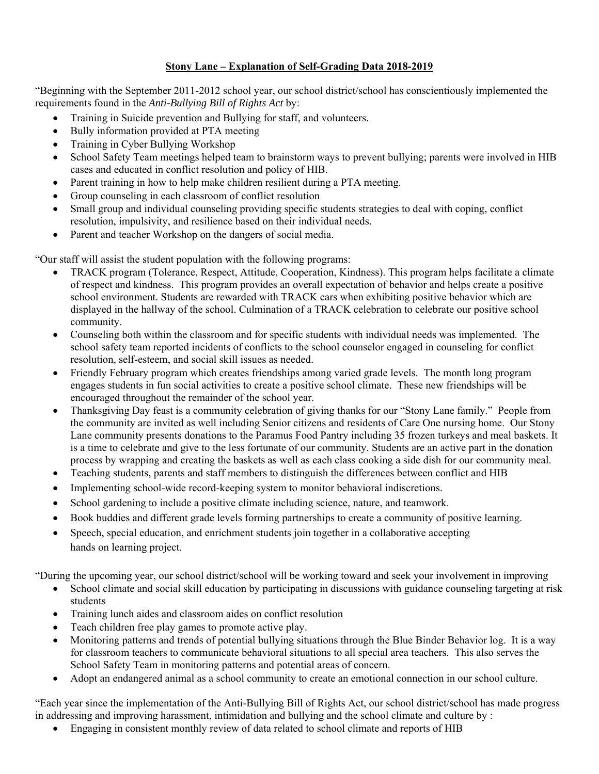## **Stony Lane – Explanation of Self-Grading Data 2018-2019**

"Beginning with the September 2011-2012 school year, our school district/school has conscientiously implemented the requirements found in the *Anti-Bullying Bill of Rights Act* by:

- Training in Suicide prevention and Bullying for staff, and volunteers.
- Bully information provided at PTA meeting
- Training in Cyber Bullying Workshop
- School Safety Team meetings helped team to brainstorm ways to prevent bullying; parents were involved in HIB cases and educated in conflict resolution and policy of HIB.
- Parent training in how to help make children resilient during a PTA meeting.
- Group counseling in each classroom of conflict resolution
- Small group and individual counseling providing specific students strategies to deal with coping, conflict resolution, impulsivity, and resilience based on their individual needs.
- Parent and teacher Workshop on the dangers of social media.

"Our staff will assist the student population with the following programs:

- TRACK program (Tolerance, Respect, Attitude, Cooperation, Kindness). This program helps facilitate a climate of respect and kindness. This program provides an overall expectation of behavior and helps create a positive school environment. Students are rewarded with TRACK cars when exhibiting positive behavior which are displayed in the hallway of the school. Culmination of a TRACK celebration to celebrate our positive school community.
- Counseling both within the classroom and for specific students with individual needs was implemented. The school safety team reported incidents of conflicts to the school counselor engaged in counseling for conflict resolution, self-esteem, and social skill issues as needed.
- Friendly February program which creates friendships among varied grade levels. The month long program engages students in fun social activities to create a positive school climate. These new friendships will be encouraged throughout the remainder of the school year.
- Thanksgiving Day feast is a community celebration of giving thanks for our "Stony Lane family." People from the community are invited as well including Senior citizens and residents of Care One nursing home. Our Stony Lane community presents donations to the Paramus Food Pantry including 35 frozen turkeys and meal baskets. It is a time to celebrate and give to the less fortunate of our community. Students are an active part in the donation process by wrapping and creating the baskets as well as each class cooking a side dish for our community meal.
- Teaching students, parents and staff members to distinguish the differences between conflict and HIB
- Implementing school-wide record-keeping system to monitor behavioral indiscretions.
- School gardening to include a positive climate including science, nature, and teamwork.
- Book buddies and different grade levels forming partnerships to create a community of positive learning.
- Speech, special education, and enrichment students join together in a collaborative accepting hands on learning project.

"During the upcoming year, our school district/school will be working toward and seek your involvement in improving

- School climate and social skill education by participating in discussions with guidance counseling targeting at risk students
- Training lunch aides and classroom aides on conflict resolution
- Teach children free play games to promote active play.
- Monitoring patterns and trends of potential bullying situations through the Blue Binder Behavior log. It is a way for classroom teachers to communicate behavioral situations to all special area teachers. This also serves the School Safety Team in monitoring patterns and potential areas of concern.
- Adopt an endangered animal as a school community to create an emotional connection in our school culture.

"Each year since the implementation of the Anti-Bullying Bill of Rights Act, our school district/school has made progress in addressing and improving harassment, intimidation and bullying and the school climate and culture by :

Engaging in consistent monthly review of data related to school climate and reports of HIB